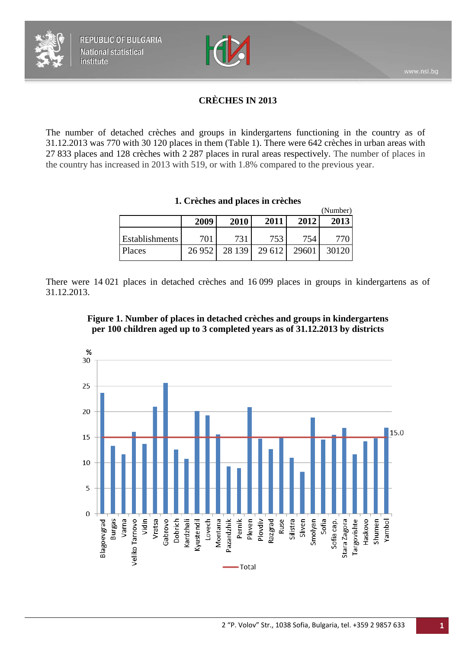

# **CRÈCHES IN 2013**

The number of detached crèches and groups in kindergartens functioning in the country as of 31.12.2013 was 770 with 30 120 places in them (Table 1). There were 642 crèches in urban areas with 27 833 places and 128 crèches with 2 287 places in rural areas respectively. The number of places in the country has increased in 2013 with 519, or with 1.8% compared to the previous year.

| 1. Crèches and places in crèches |  |  |
|----------------------------------|--|--|
|----------------------------------|--|--|

|                |        |        |        |       | (Number) |
|----------------|--------|--------|--------|-------|----------|
|                | 2009   | 2010   | 2011   | 2012  | 2013     |
| Establishments | 701    | 731    | 753    | 754   |          |
| Places         | 26 952 | 28 139 | 29 612 | 29601 | 30120    |

There were 14 021 places in detached crèches and 16 099 places in groups in kindergartens as of 31.12.2013.

<span id="page-0-0"></span>

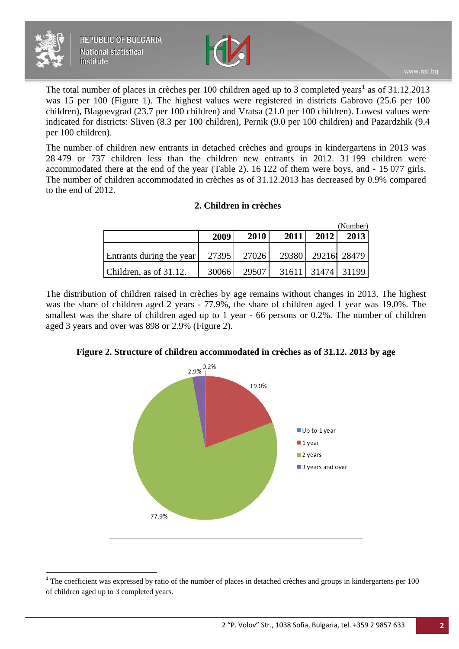



The total number of places in crèches per [1](#page-0-0)00 children aged up to 3 completed years<sup>1</sup> as of 31.12.2013 was 15 per 100 (Figure 1). The highest values were registered in districts Gabrovo (25.6 per 100 children), Blagoevgrad (23.7 per 100 children) and Vratsa (21.0 per 100 children). Lowest values were indicated for districts: Sliven (8.3 per 100 children), Pernik (9.0 per 100 children) and Pazardzhik (9.4 per 100 children).

The number of children new entrants in detached crèches and groups in kindergartens in 2013 was 28 479 or 737 children less than the children new entrants in 2012. 31 199 children were accommodated there at the end of the year (Table 2). 16 122 of them were boys, and - 15 077 girls. The number of children accommodated in crèches as of 31.12.2013 has decreased by 0.9% compared to the end of 2012.

### **2. Children in crèches**

|                          |       |       |       |      | (Number)    |
|--------------------------|-------|-------|-------|------|-------------|
|                          | 2009  | 2010  | 2011  | 2012 | 2013        |
| Entrants during the year | 27395 | 27026 | 29380 |      | 29216 28479 |
|                          |       | 29507 | 31611 |      | 31474 31199 |
| Children, as of 31.12.   | 30066 |       |       |      |             |

The distribution of children raised in crèches by age remains without changes in 2013. The highest was the share of children aged 2 years - 77.9%, the share of children aged 1 year was 19.0%. The smallest was the share of children aged up to 1 year - 66 persons or 0.2%. The number of children aged 3 years and over was 898 or 2.9% (Figure 2).

### **Figure 2. Structure of children accommodated in crèches as of 31.12. 2013 by age**



<span id="page-1-0"></span><sup>&</sup>lt;sup>1</sup> The coefficient was expressed by ratio of the number of places in detached crèches and groups in kindergartens per 100 of children aged up to 3 completed years.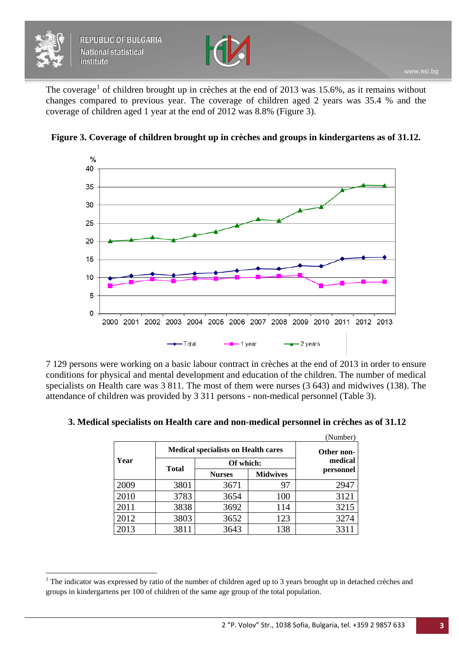$\overline{a}$ 



The coverage<sup>[1](#page-1-0)</sup> of children brought up in crèches at the end of 2013 was 15.6%, as it remains without changes compared to previous year. The coverage of children aged 2 years was 35.4 % and the coverage of children aged 1 year at the end of 2012 was 8.8% (Figure 3).



**Figure 3. Coverage of children brought up in crèches and groups in kindergartens as of 31.12.**

7 129 persons were working on a basic labour contract in crèches at the end of 2013 in order to ensure conditions for physical and mental development and education of the children. The number of medical specialists on Health care was 3 811. The most of them were nurses (3 643) and midwives (138). The attendance of children was provided by 3 311 persons - non-medical personnel (Table 3).

|      |                                            |                       |                 | (Number)  |
|------|--------------------------------------------|-----------------------|-----------------|-----------|
|      | <b>Medical specialists on Health cares</b> | Other non-<br>medical |                 |           |
| Year | Of which:                                  |                       |                 |           |
|      | <b>Total</b>                               | <b>Nurses</b>         | <b>Midwives</b> | personnel |
| 2009 | 3801                                       | 3671                  | 97              | 2947      |
| 2010 | 3783                                       | 3654                  | 100             | 3121      |
| 2011 | 3838                                       | 3692                  | 114             | 3215      |
| 2012 | 3803                                       | 3652                  | 123             | 3274      |
| 2013 | 3811                                       | 3643                  | 138             | 3311      |

#### **3. Medical specialists on Health care and non-medical personnel in crèches as of 31.12**

 $1$  The indicator was expressed by ratio of the number of children aged up to 3 years brought up in detached crèches and groups in kindergartens per 100 of children of the same age group of the total population.